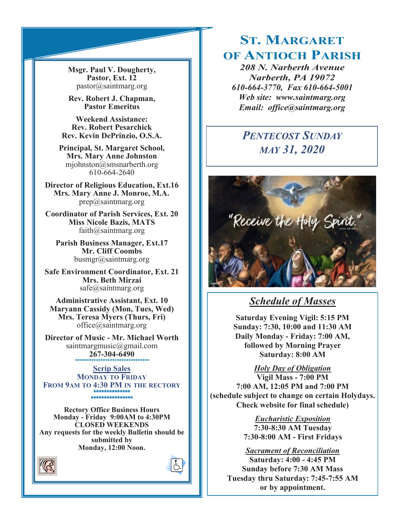**Msgr. Paul V. Dougherty, Pastor, Ext. 12** pastor@saintmarg.org

**Rev. Robert J. Chapman, Pastor Emeritus**

**Weekend Assistance: Rev. Robert Pesarchick Rev. Kevin DePrinzio, O.S.A.**

**Principal, St. Margaret School, Mrs. Mary Anne Johnston**  mjohnston@smsnarberth.org 610-664-2640

**Director of Religious Education, Ext.16 Mrs. Mary Anne J. Monroe, M.A.** prep@saintmarg.org

**Coordinator of Parish Services, Ext. 20 Miss Nicole Bazis, MATS** faith@saintmarg.org

**Parish Business Manager, Ext.17 Mr. Cliff Coombs** busmgr@saintmarg.org

**Safe Environment Coordinator, Ext. 21 Mrs. Beth Mirzai** safe@saintmarg.org

**Administrative Assistant, Ext. 10 Maryann Cassidy (Mon, Tues, Wed) Mrs. Teresa Myers (Thurs, Fri)** office@saintmarg.org

**Director of Music - Mr. Michael Worth** saintmargmusic@gmail.com **267-304-6490** *\*\*\*\*\*\*\*\*\*\*\*\*\*\*\*\*\*\*\*\*\*\*\*\*\*\*\*\*\*\*\*\**

**Scrip Sales MONDAY TO FRIDAY FROM 9AM TO 4:30 PM IN THE RECTORY \*\*\*\*\*\*\*\*\*\*\*\*\*\* \*\*\*\*\*\*\*\*\*\*\*\*\*\*\*\*** 

**Rectory Office Business Hours Monday - Friday 9:00AM to 4:30PM CLOSED WEEKENDS Any requests for the weekly Bulletin should be submitted by Monday, 12:00 Noon.** 





# **ST. MARGARET OF ANTIOCH PARISH**

*208 N. Narberth Avenue Narberth, PA 19072 610-664-3770, Fax 610-664-5001 Web site: www.saintmarg.org Email: office@saintmarg.org*

# *PENTECOST SUNDAY MAY 31, 2020*



# *Schedule of Masses*

**Saturday Evening Vigil: 5:15 PM Sunday: 7:30, 10:00 and 11:30 AM Daily Monday - Friday: 7:00 AM, followed by Morning Prayer Saturday: 8:00 AM**

*Holy Day of Obligation* **Vigil Mass - 7:00 PM 7:00 AM, 12:05 PM and 7:00 PM (schedule subject to change on certain Holydays. Check website for final schedule)**

> *Eucharistic Exposition*  **7:30-8:30 AM Tuesday 7:30-8:00 AM - First Fridays**

*Sacrament of Reconciliation* **Saturday: 4:00 - 4:45 PM Sunday before 7:30 AM Mass Tuesday thru Saturday: 7:45-7:55 AM or by appointment.**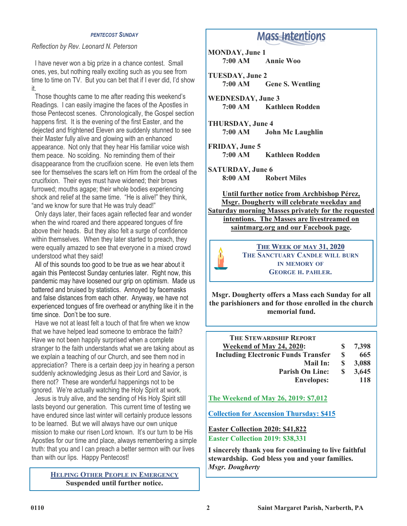#### *PENTECOST SUNDAY*

#### *Reflection by Rev. Leonard N. Peterson*

 I have never won a big prize in a chance contest. Small ones, yes, but nothing really exciting such as you see from time to time on TV. But you can bet that if I ever did, I'd show it.

 Those thoughts came to me after reading this weekend's Readings. I can easily imagine the faces of the Apostles in those Pentecost scenes. Chronologically, the Gospel section happens first. It is the evening of the first Easter, and the dejected and frightened Eleven are suddenly stunned to see their Master fully alive and glowing with an enhanced appearance. Not only that they hear His familiar voice wish them peace. No scolding. No reminding them of their disappearance from the crucifixion scene. He even lets them see for themselves the scars left on Him from the ordeal of the crucifixion. Their eyes must have widened; their brows furrowed; mouths agape; their whole bodies experiencing shock and relief at the same time. "He is alive!" they think, "and we know for sure that He was truly dead!"

 Only days later, their faces again reflected fear and wonder when the wind roared and there appeared tongues of fire above their heads. But they also felt a surge of confidence within themselves. When they later started to preach, they were equally amazed to see that everyone in a mixed crowd understood what they said!

 All of this sounds too good to be true as we hear about it again this Pentecost Sunday centuries later. Right now, this pandemic may have loosened our grip on optimism. Made us battered and bruised by statistics. Annoyed by facemasks and false distances from each other. Anyway, we have not experienced tongues of fire overhead or anything like it in the time since. Don't be too sure.

 Have we not at least felt a touch of that fire when we know that we have helped lead someone to embrace the faith? Have we not been happily surprised when a complete stranger to the faith understands what we are taking about as we explain a teaching of our Church, and see them nod in appreciation? There is a certain deep joy in hearing a person suddenly acknowledging Jesus as their Lord and Savior, is there not? These are wonderful happenings not to be ignored. We're actually watching the Holy Spirit at work.

 Jesus is truly alive, and the sending of His Holy Spirit still lasts beyond our generation. This current time of testing we have endured since last winter will certainly produce lessons to be learned. But we will always have our own unique mission to make our risen Lord known. It's our turn to be His Apostles for our time and place, always remembering a simple truth: that you and I can preach a better sermon with our lives than with our lips. Happy Pentecost!

> **HELPING OTHER PEOPLE IN EMERGENCY Suspended until further notice.**

# **Mass Intentions**

**MONDAY, June 1 7:00 AM Annie Woo**

**TUESDAY, June 2 7:00 AM Gene S. Wentling**

**WEDNESDAY, June 3 Kathleen Rodden** 

**THURSDAY, June 4 7:00 AM John Mc Laughlin**

**FRIDAY, June 5 7:00 AM Kathleen Rodden**

**SATURDAY, June 6 8:00 AM Robert Miles**

**Until further notice from Archbishop Pérez, Msgr. Dougherty will celebrate weekday and Saturday morning Masses privately for the requested intentions. The Masses are livestreamed on saintmarg.org and our Facebook page.**



**THE WEEK OF MAY 31, 2020 THE SANCTUARY CANDLE WILL BURN IN MEMORY OF GEORGE H. PAHLER.**

**Msgr. Dougherty offers a Mass each Sunday for all the parishioners and for those enrolled in the church memorial fund.**

|   | 7,398 |
|---|-------|
| S | 665   |
| S | 3,088 |
| S | 3,645 |
|   | 118   |
|   |       |

**The Weekend of May 26, 2019: \$7,012**

**Collection for Ascension Thursday: \$415**

**Easter Collection 2020: \$41,822 Easter Collection 2019: \$38,331**

**I sincerely thank you for continuing to live faithful stewardship. God bless you and your families.** *Msgr. Dougherty*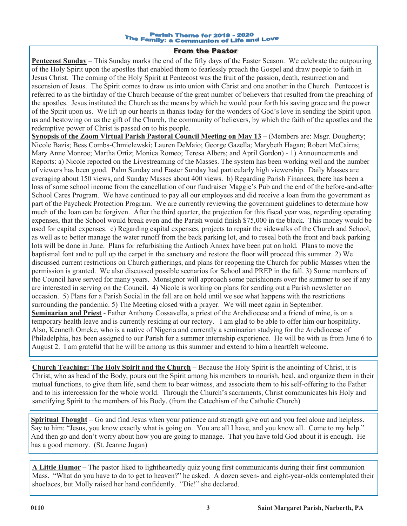#### Parish Theme for 2019 - 2020 The Family: a Communion of Life and Love

#### **From the Pastor**

**Pentecost Sunday** – This Sunday marks the end of the fifty days of the Easter Season. We celebrate the outpouring of the Holy Spirit upon the apostles that enabled them to fearlessly preach the Gospel and draw people to faith in Jesus Christ. The coming of the Holy Spirit at Pentecost was the fruit of the passion, death, resurrection and ascension of Jesus. The Spirit comes to draw us into union with Christ and one another in the Church. Pentecost is referred to as the birthday of the Church because of the great number of believers that resulted from the preaching of the apostles. Jesus instituted the Church as the means by which he would pour forth his saving grace and the power of the Spirit upon us. We lift up our hearts in thanks today for the wonders of God's love in sending the Spirit upon us and bestowing on us the gift of the Church, the community of believers, by which the faith of the apostles and the redemptive power of Christ is passed on to his people.

**Synopsis of the Zoom Virtual Parish Pastoral Council Meeting on May 13** – (Members are: Msgr. Dougherty; Nicole Bazis; Bess Combs-Chmielewski; Lauren DeMaio; George Gazella; Marybeth Hagan; Robert McCairns; Mary Anne Monroe; Martha Ortiz; Monica Romeo; Teresa Albers; and April Gordon) - 1) Announcements and Reports: a) Nicole reported on the Livestreaming of the Masses. The system has been working well and the number of viewers has been good. Palm Sunday and Easter Sunday had particularly high viewership. Daily Masses are averaging about 150 views, and Sunday Masses about 400 views. b) Regarding Parish Finances, there has been a loss of some school income from the cancellation of our fundraiser Maggie's Pub and the end of the before-and-after School Cares Program. We have continued to pay all our employees and did receive a loan from the government as part of the Paycheck Protection Program. We are currently reviewing the government guidelines to determine how much of the loan can be forgiven. After the third quarter, the projection for this fiscal year was, regarding operating expenses, that the School would break even and the Parish would finish \$75,000 in the black. This money would be used for capital expenses. c) Regarding capital expenses, projects to repair the sidewalks of the Church and School, as well as to better manage the water runoff from the back parking lot, and to reseal both the front and back parking lots will be done in June. Plans for refurbishing the Antioch Annex have been put on hold. Plans to move the baptismal font and to pull up the carpet in the sanctuary and restore the floor will proceed this summer. 2) We discussed current restrictions on Church gatherings, and plans for reopening the Church for public Masses when the permission is granted. We also discussed possible scenarios for School and PREP in the fall. 3) Some members of the Council have served for many years. Monsignor will approach some parishioners over the summer to see if any are interested in serving on the Council. 4) Nicole is working on plans for sending out a Parish newsletter on occasion. 5) Plans for a Parish Social in the fall are on hold until we see what happens with the restrictions surrounding the pandemic. 5) The Meeting closed with a prayer. We will meet again in September. **Seminarian and Priest** - Father Anthony Cossavella, a priest of the Archdiocese and a friend of mine, is on a temporary health leave and is currently residing at our rectory. I am glad to be able to offer him our hospitality. Also, Kenneth Omeke, who is a native of Nigeria and currently a seminarian studying for the Archdiocese of Philadelphia, has been assigned to our Parish for a summer internship experience. He will be with us from June 6 to August 2. I am grateful that he will be among us this summer and extend to him a heartfelt welcome.

**Church Teaching: The Holy Spirit and the Church** – Because the Holy Spirit is the anointing of Christ, it is Christ, who as head of the Body, pours out the Spirit among his members to nourish, heal, and organize them in their mutual functions, to give them life, send them to bear witness, and associate them to his self-offering to the Father and to his intercession for the whole world. Through the Church's sacraments, Christ communicates his Holy and sanctifying Spirit to the members of his Body. (from the Catechism of the Catholic Church)

**Spiritual Thought** – Go and find Jesus when your patience and strength give out and you feel alone and helpless. Say to him: "Jesus, you know exactly what is going on. You are all I have, and you know all. Come to my help." And then go and don't worry about how you are going to manage. That you have told God about it is enough. He has a good memory. (St. Jeanne Jugan)

**A Little Humor** – The pastor liked to lightheartedly quiz young first communicants during their first communion Mass. "What do you have to do to get to heaven?" he asked. A dozen seven- and eight-year-olds contemplated their shoelaces, but Molly raised her hand confidently. "Die!" she declared.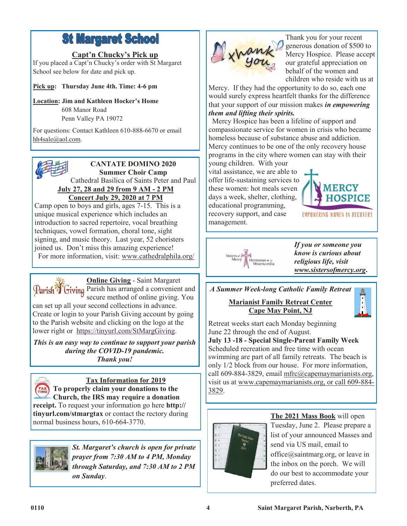# **St Margaret School**

# **Capt'n Chucky's Pick up**

If you placed a Capt'n Chucky's order with St Margaret School see below for date and pick up.

**Pick up: Thursday June 4th. Time: 4-6 pm**

**Location: Jim and Kathleen Hocker's Home** 608 Manor Road

Penn Valley PA 19072

For questions: Contact Kathleen 610-888-6670 or email [hh4sale@aol.com.](mailto:hh4sale@aol.com)



# **Concert July 29, 2020 at 7 PM**

Camp open to boys and girls, ages 7-15. This is a unique musical experience which includes an introduction to sacred repertoire, vocal breathing techniques, vowel formation, choral tone, sight signing, and music theory. Last year, 52 choristers joined us. Don't miss this amazing experience! For more information, visit: www.cathedralphila.org/

**Online Giving** - Saint Margaret Parish<sup>3</sup> Giving Parish has arranged a convenient and secure method of online giving. You can set up all your second collections in advance. Create or login to your Parish Giving account by going to the Parish website and clicking on the logo at the lower right or [https://tinyurl.com/StMargGiving.](https://tinyurl.com/StMargGiving)

*This is an easy way to continue to support your parish during the COVID-19 pandemic. Thank you!*



# **Tax Information for 2019**

**TAXE** To properly claim your donations to the **Church, the IRS may require a donation receipt.** To request your information go here **http:// tinyurl.com/stmargtax** or contact the rectory during normal business hours, 610-664-3770.



*St. Margaret's church is open for private prayer from 7:30 AM to 4 PM, Monday through Saturday, and 7:30 AM to 2 PM on Sunday*.



Thank you for your recent generous donation of \$500 to Mercy Hospice. Please accept our grateful appreciation on behalf of the women and children who reside with us at

Mercy. If they had the opportunity to do so, each one would surely express heartfelt thanks for the difference that your support of our mission makes *in empowering them and lifting their spirits.*

 Mercy Hospice has been a lifeline of support and compassionate service for women in crisis who became homeless because of substance abuse and addiction. Mercy continues to be one of the only recovery house programs in the city where women can stay with their young children. With your

vital assistance, we are able to offer life-sustaining services to these women: hot meals seven days a week, shelter, clothing, educational programming, recovery support, and case management.





*If you or someone you know is curious about religious life, visit www.sistersofmercy.org***.**

# *A Summer Week-long Catholic Family Retreat*

**Marianist Family Retreat Center Cape May Point, NJ**



Retreat weeks start each Monday beginning June 22 through the end of August.

**July 13 -18 - Special Single-Parent Family Week** Scheduled recreation and free time with ocean swimming are part of all family retreats. The beach is only 1/2 block from our house. For more information, call 609-884-3829, email mfrc@capemaymarianists.org, visit us at www.capemaymarianists.org, or call 609-884- 3829.



**The 2021 Mass Book** will open Tuesday, June 2. Please prepare a list of your announced Masses and send via US mail, email to office@saintmarg.org, or leave in the inbox on the porch. We will do our best to accommodate your preferred dates.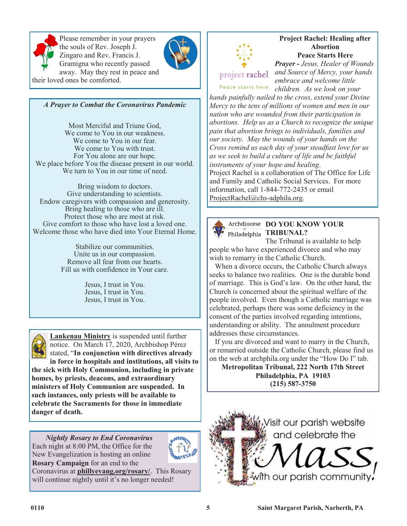

Please remember in your prayers the souls of Rev. Joseph J. Zingaro and Rev. Francis J. Gramigna who recently passed away. May they rest in peace and their loved ones be comforted.



*A Prayer to Combat the Coronavirus Pandemic*

Most Merciful and Triune God, We come to You in our weakness. We come to You in our fear. We come to You with trust. For You alone are our hope. We place before You the disease present in our world. We turn to You in our time of need.

Bring wisdom to doctors. Give understanding to scientists. Endow caregivers with compassion and generosity. Bring healing to those who are ill. Protect those who are most at risk. Give comfort to those who have lost a loved one. Welcome those who have died into Your Eternal Home.

> Stabilize our communities. Unite us in our compassion. Remove all fear from our hearts. Fill us with confidence in Your care.

> > Jesus, I trust in You. Jesus, I trust in You. Jesus, I trust in You.



**Lankenau Ministry** is suspended until further notice. On March 17, 2020, Archbishop Pérez stated, "**In conjunction with directives already in force in hospitals and institutions, all visits to** 

**the sick with Holy Communion, including in private homes, by priests, deacons, and extraordinary ministers of Holy Communion are suspended. In such instances, only priests will be available to celebrate the Sacraments for those in immediate danger of death.**

*Nightly Rosary to End Coronavirus* Each night at 8:00 PM, the Office for the New Evangelization is hosting an online **Rosary Campaign** for an end to the



Coronavirus at **phillyevang.org/rosary/**. This Rosary will continue nightly until it's no longer needed!



#### **Project Rachel: Healing after Abortion Peace Starts Here**

*Prayer - Jesus, Healer of Wounds and Source of Mercy, your hands* 

*embrace and welcome little*  Peace starts here *children. As we look on your* 

*hands painfully nailed to the cross, extend your Divine Mercy to the tens of millions of women and men in our nation who are wounded from their participation in abortions. Help us as a Church to recognize the unique pain that abortion brings to individuals, families and our society. May the wounds of your hands on the Cross remind us each day of your steadfast love for us as we seek to build a culture of life and be faithful instruments of your hope and healing*. Project Rachel is a collaboration of The Office for Life and Family and Catholic Social Services. For more information, call 1-844-772-2435 or email ProjectRachel@chs-adphila.org.



# **DO YOU KNOW YOUR**  Philadelphia **TRIBUNAL?**

The Tribunal is available to help people who have experienced divorce and who may wish to remarry in the Catholic Church.

 When a divorce occurs, the Catholic Church always seeks to balance two realities. One is the durable bond of marriage. This is God's law. On the other hand, the Church is concerned about the spiritual welfare of the people involved. Even though a Catholic marriage was celebrated, perhaps there was some deficiency in the consent of the parties involved regarding intentions, understanding or ability. The annulment procedure addresses these circumstances.

 If you are divorced and want to marry in the Church, or remarried outside the Catholic Church, please find us on the web at archphila.org under the "How Do I" tab.

**Metropolitan Tribunal, 222 North 17th Street Philadelphia, PA 19103 (215) 587-3750**